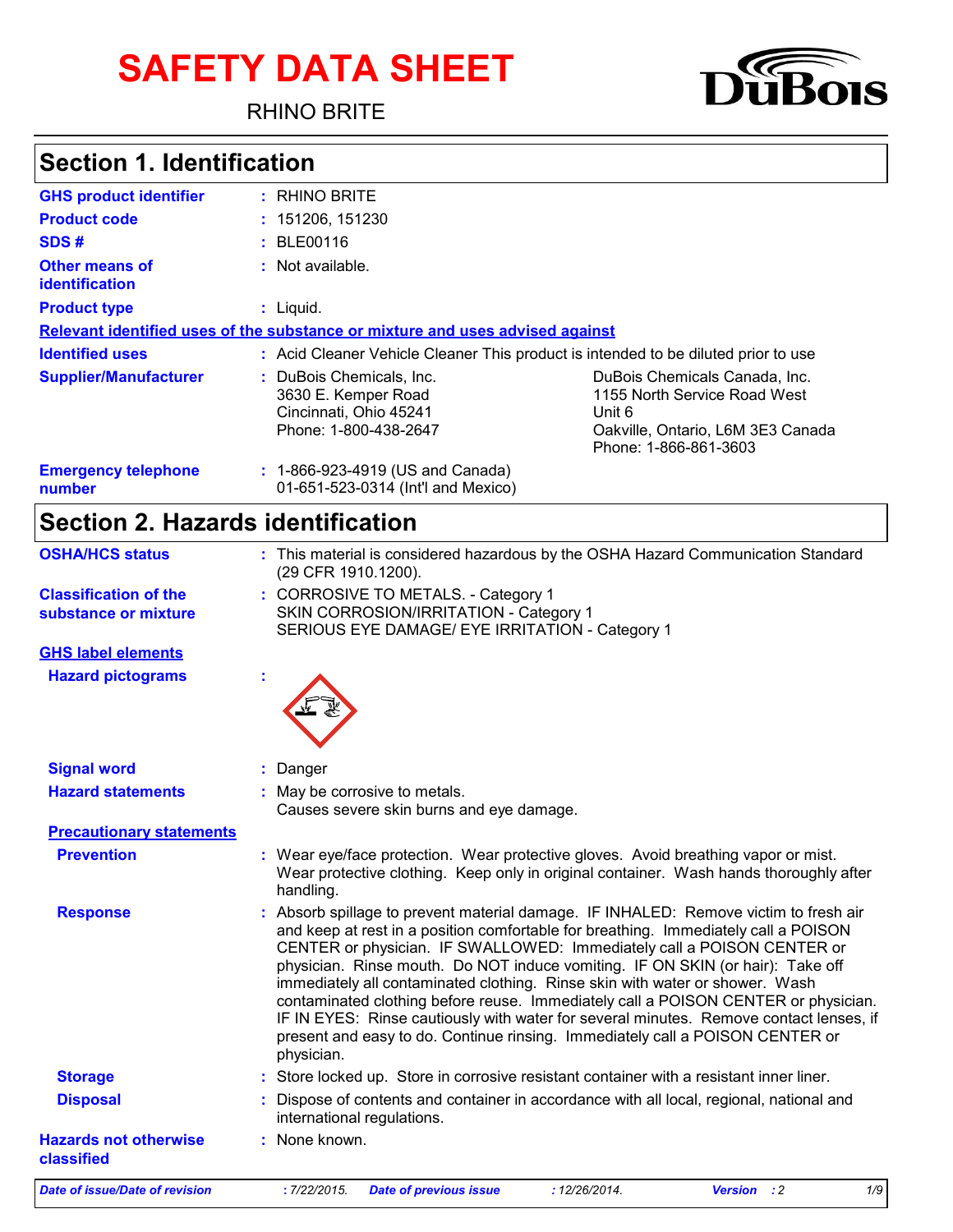# **SAFETY DATA SHEET**

RHINO BRITE



### **Section 1. Identification**

| <b>GHS product identifier</b>           | : RHINO BRITE                                                                                      |                                                                                                                                       |
|-----------------------------------------|----------------------------------------------------------------------------------------------------|---------------------------------------------------------------------------------------------------------------------------------------|
| <b>Product code</b>                     | : 151206, 151230                                                                                   |                                                                                                                                       |
| SDS#                                    | : BLE00116                                                                                         |                                                                                                                                       |
| <b>Other means of</b><br>identification | : Not available.                                                                                   |                                                                                                                                       |
| <b>Product type</b>                     | $:$ Liquid.                                                                                        |                                                                                                                                       |
|                                         | Relevant identified uses of the substance or mixture and uses advised against                      |                                                                                                                                       |
| <b>Identified uses</b>                  | : Acid Cleaner Vehicle Cleaner This product is intended to be diluted prior to use                 |                                                                                                                                       |
| <b>Supplier/Manufacturer</b>            | : DuBois Chemicals, Inc.<br>3630 E. Kemper Road<br>Cincinnati, Ohio 45241<br>Phone: 1-800-438-2647 | DuBois Chemicals Canada, Inc.<br>1155 North Service Road West<br>Unit 6<br>Oakville, Ontario, L6M 3E3 Canada<br>Phone: 1-866-861-3603 |
| <b>Emergency telephone</b><br>number    | : 1-866-923-4919 (US and Canada)<br>01-651-523-0314 (Int'l and Mexico)                             |                                                                                                                                       |

### **Section 2. Hazards identification**

| <b>Date of issue/Date of revision</b>                | 1/9<br>: 7/22/2015.<br>: 12/26/2014.<br>Version : 2<br><b>Date of previous issue</b>                                                                                                                                                                                                                                                                                                                                                                                                                                                                                                                                                                                                                 |
|------------------------------------------------------|------------------------------------------------------------------------------------------------------------------------------------------------------------------------------------------------------------------------------------------------------------------------------------------------------------------------------------------------------------------------------------------------------------------------------------------------------------------------------------------------------------------------------------------------------------------------------------------------------------------------------------------------------------------------------------------------------|
| <b>Hazards not otherwise</b><br>classified           | : None known.                                                                                                                                                                                                                                                                                                                                                                                                                                                                                                                                                                                                                                                                                        |
| <b>Disposal</b>                                      | Dispose of contents and container in accordance with all local, regional, national and<br>international regulations.                                                                                                                                                                                                                                                                                                                                                                                                                                                                                                                                                                                 |
| <b>Storage</b>                                       | : Store locked up. Store in corrosive resistant container with a resistant inner liner.                                                                                                                                                                                                                                                                                                                                                                                                                                                                                                                                                                                                              |
| <b>Response</b>                                      | Absorb spillage to prevent material damage. IF INHALED: Remove victim to fresh air<br>and keep at rest in a position comfortable for breathing. Immediately call a POISON<br>CENTER or physician. IF SWALLOWED: Immediately call a POISON CENTER or<br>physician. Rinse mouth. Do NOT induce vomiting. IF ON SKIN (or hair): Take off<br>immediately all contaminated clothing. Rinse skin with water or shower. Wash<br>contaminated clothing before reuse. Immediately call a POISON CENTER or physician.<br>IF IN EYES: Rinse cautiously with water for several minutes. Remove contact lenses, if<br>present and easy to do. Continue rinsing. Immediately call a POISON CENTER or<br>physician. |
| <b>Prevention</b>                                    | : Wear eye/face protection. Wear protective gloves. Avoid breathing vapor or mist.<br>Wear protective clothing. Keep only in original container. Wash hands thoroughly after<br>handling.                                                                                                                                                                                                                                                                                                                                                                                                                                                                                                            |
| <b>Precautionary statements</b>                      |                                                                                                                                                                                                                                                                                                                                                                                                                                                                                                                                                                                                                                                                                                      |
| <b>Hazard statements</b>                             | : May be corrosive to metals.<br>Causes severe skin burns and eye damage.                                                                                                                                                                                                                                                                                                                                                                                                                                                                                                                                                                                                                            |
|                                                      |                                                                                                                                                                                                                                                                                                                                                                                                                                                                                                                                                                                                                                                                                                      |
| <b>Signal word</b>                                   | Danger                                                                                                                                                                                                                                                                                                                                                                                                                                                                                                                                                                                                                                                                                               |
| <b>Hazard pictograms</b>                             |                                                                                                                                                                                                                                                                                                                                                                                                                                                                                                                                                                                                                                                                                                      |
| <b>GHS label elements</b>                            |                                                                                                                                                                                                                                                                                                                                                                                                                                                                                                                                                                                                                                                                                                      |
| <b>Classification of the</b><br>substance or mixture | : CORROSIVE TO METALS. - Category 1<br>SKIN CORROSION/IRRITATION - Category 1<br>SERIOUS EYE DAMAGE/ EYE IRRITATION - Category 1                                                                                                                                                                                                                                                                                                                                                                                                                                                                                                                                                                     |
| <b>OSHA/HCS status</b>                               | : This material is considered hazardous by the OSHA Hazard Communication Standard<br>(29 CFR 1910.1200).                                                                                                                                                                                                                                                                                                                                                                                                                                                                                                                                                                                             |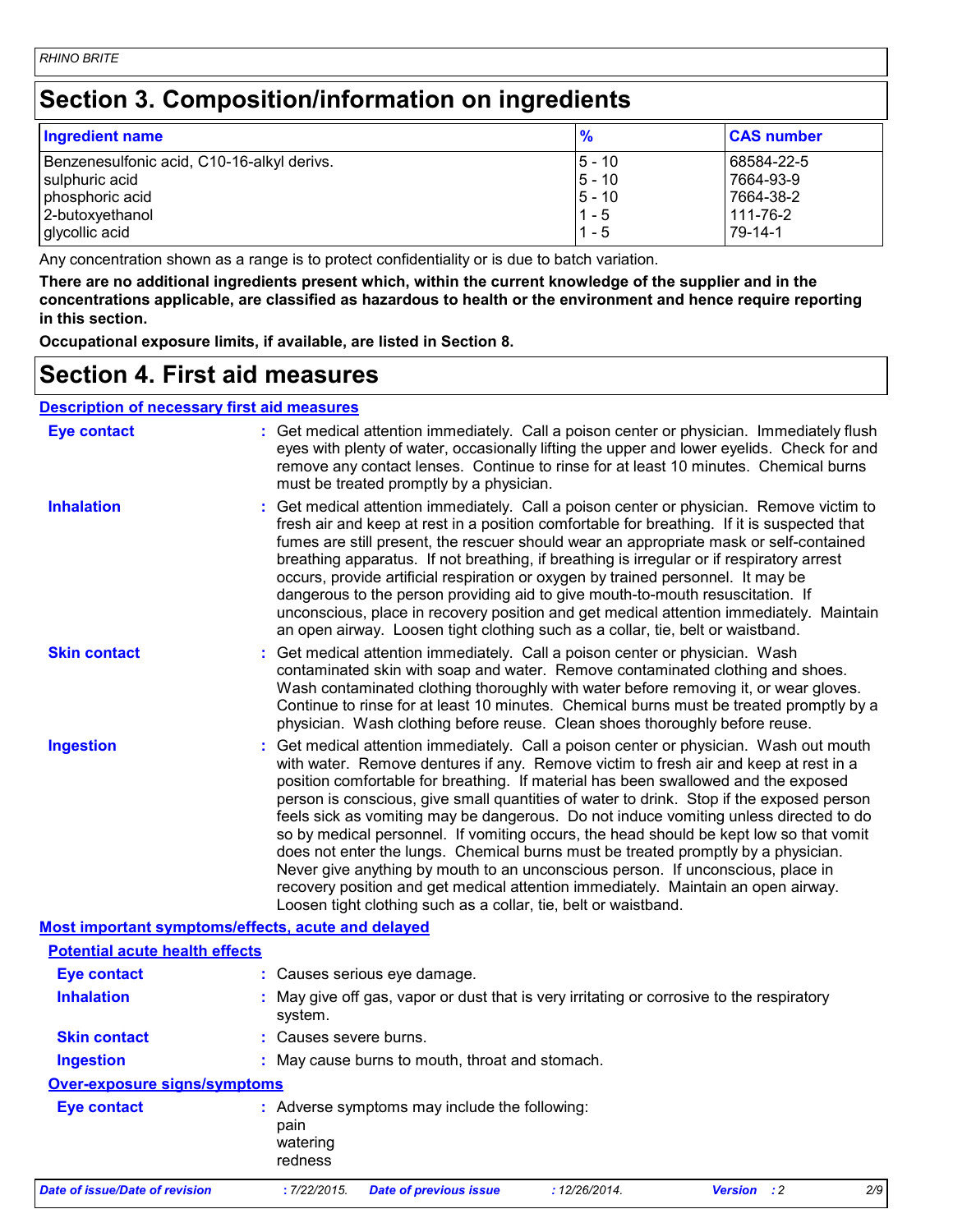### **Section 3. Composition/information on ingredients**

| <b>Ingredient name</b>                     | %         | <b>CAS number</b> |
|--------------------------------------------|-----------|-------------------|
| Benzenesulfonic acid, C10-16-alkyl derivs. | $ 5 - 10$ | 68584-22-5        |
| sulphuric acid                             | $5 - 10$  | 7664-93-9         |
| phosphoric acid                            | $5 - 10$  | 7664-38-2         |
| 2-butoxyethanol                            | $1 - 5$   | 111-76-2          |
| glycollic acid                             | $1 - 5$   | 79-14-1           |

Any concentration shown as a range is to protect confidentiality or is due to batch variation.

**There are no additional ingredients present which, within the current knowledge of the supplier and in the concentrations applicable, are classified as hazardous to health or the environment and hence require reporting in this section.**

**Occupational exposure limits, if available, are listed in Section 8.**

#### **Section 4. First aid measures**

#### **Description of necessary first aid measures**

| <b>Eye contact</b>                                 | : Get medical attention immediately. Call a poison center or physician. Immediately flush<br>eyes with plenty of water, occasionally lifting the upper and lower eyelids. Check for and<br>remove any contact lenses. Continue to rinse for at least 10 minutes. Chemical burns<br>must be treated promptly by a physician.                                                                                                                                                                                                                                                                                                                                                                                                                                                                                                                                                         |
|----------------------------------------------------|-------------------------------------------------------------------------------------------------------------------------------------------------------------------------------------------------------------------------------------------------------------------------------------------------------------------------------------------------------------------------------------------------------------------------------------------------------------------------------------------------------------------------------------------------------------------------------------------------------------------------------------------------------------------------------------------------------------------------------------------------------------------------------------------------------------------------------------------------------------------------------------|
| <b>Inhalation</b>                                  | : Get medical attention immediately. Call a poison center or physician. Remove victim to<br>fresh air and keep at rest in a position comfortable for breathing. If it is suspected that<br>fumes are still present, the rescuer should wear an appropriate mask or self-contained<br>breathing apparatus. If not breathing, if breathing is irregular or if respiratory arrest<br>occurs, provide artificial respiration or oxygen by trained personnel. It may be<br>dangerous to the person providing aid to give mouth-to-mouth resuscitation. If<br>unconscious, place in recovery position and get medical attention immediately. Maintain<br>an open airway. Loosen tight clothing such as a collar, tie, belt or waistband.                                                                                                                                                  |
| <b>Skin contact</b>                                | : Get medical attention immediately. Call a poison center or physician. Wash<br>contaminated skin with soap and water. Remove contaminated clothing and shoes.<br>Wash contaminated clothing thoroughly with water before removing it, or wear gloves.<br>Continue to rinse for at least 10 minutes. Chemical burns must be treated promptly by a<br>physician. Wash clothing before reuse. Clean shoes thoroughly before reuse.                                                                                                                                                                                                                                                                                                                                                                                                                                                    |
| <b>Ingestion</b>                                   | : Get medical attention immediately. Call a poison center or physician. Wash out mouth<br>with water. Remove dentures if any. Remove victim to fresh air and keep at rest in a<br>position comfortable for breathing. If material has been swallowed and the exposed<br>person is conscious, give small quantities of water to drink. Stop if the exposed person<br>feels sick as vomiting may be dangerous. Do not induce vomiting unless directed to do<br>so by medical personnel. If vomiting occurs, the head should be kept low so that vomit<br>does not enter the lungs. Chemical burns must be treated promptly by a physician.<br>Never give anything by mouth to an unconscious person. If unconscious, place in<br>recovery position and get medical attention immediately. Maintain an open airway.<br>Loosen tight clothing such as a collar, tie, belt or waistband. |
| Most important symptoms/effects, acute and delayed |                                                                                                                                                                                                                                                                                                                                                                                                                                                                                                                                                                                                                                                                                                                                                                                                                                                                                     |
| <b>Potential acute health effects</b>              |                                                                                                                                                                                                                                                                                                                                                                                                                                                                                                                                                                                                                                                                                                                                                                                                                                                                                     |
| <b>Eye contact</b>                                 | : Causes serious eye damage.                                                                                                                                                                                                                                                                                                                                                                                                                                                                                                                                                                                                                                                                                                                                                                                                                                                        |
| <b>Inhalation</b>                                  | : May give off gas, vapor or dust that is very irritating or corrosive to the respiratory<br>system.                                                                                                                                                                                                                                                                                                                                                                                                                                                                                                                                                                                                                                                                                                                                                                                |
| <b>Skin contact</b>                                | : Causes severe burns.                                                                                                                                                                                                                                                                                                                                                                                                                                                                                                                                                                                                                                                                                                                                                                                                                                                              |
| <b>Ingestion</b>                                   | : May cause burns to mouth, throat and stomach.                                                                                                                                                                                                                                                                                                                                                                                                                                                                                                                                                                                                                                                                                                                                                                                                                                     |
| <b>Over-exposure signs/symptoms</b>                |                                                                                                                                                                                                                                                                                                                                                                                                                                                                                                                                                                                                                                                                                                                                                                                                                                                                                     |
| <b>Eye contact</b>                                 | : Adverse symptoms may include the following:<br>pain<br>watering<br>redness                                                                                                                                                                                                                                                                                                                                                                                                                                                                                                                                                                                                                                                                                                                                                                                                        |
| Date of issue/Date of revision                     | : 12/26/2014.<br>:7/22/2015.<br><b>Version</b> : 2<br>2/9<br><b>Date of previous issue</b>                                                                                                                                                                                                                                                                                                                                                                                                                                                                                                                                                                                                                                                                                                                                                                                          |
|                                                    |                                                                                                                                                                                                                                                                                                                                                                                                                                                                                                                                                                                                                                                                                                                                                                                                                                                                                     |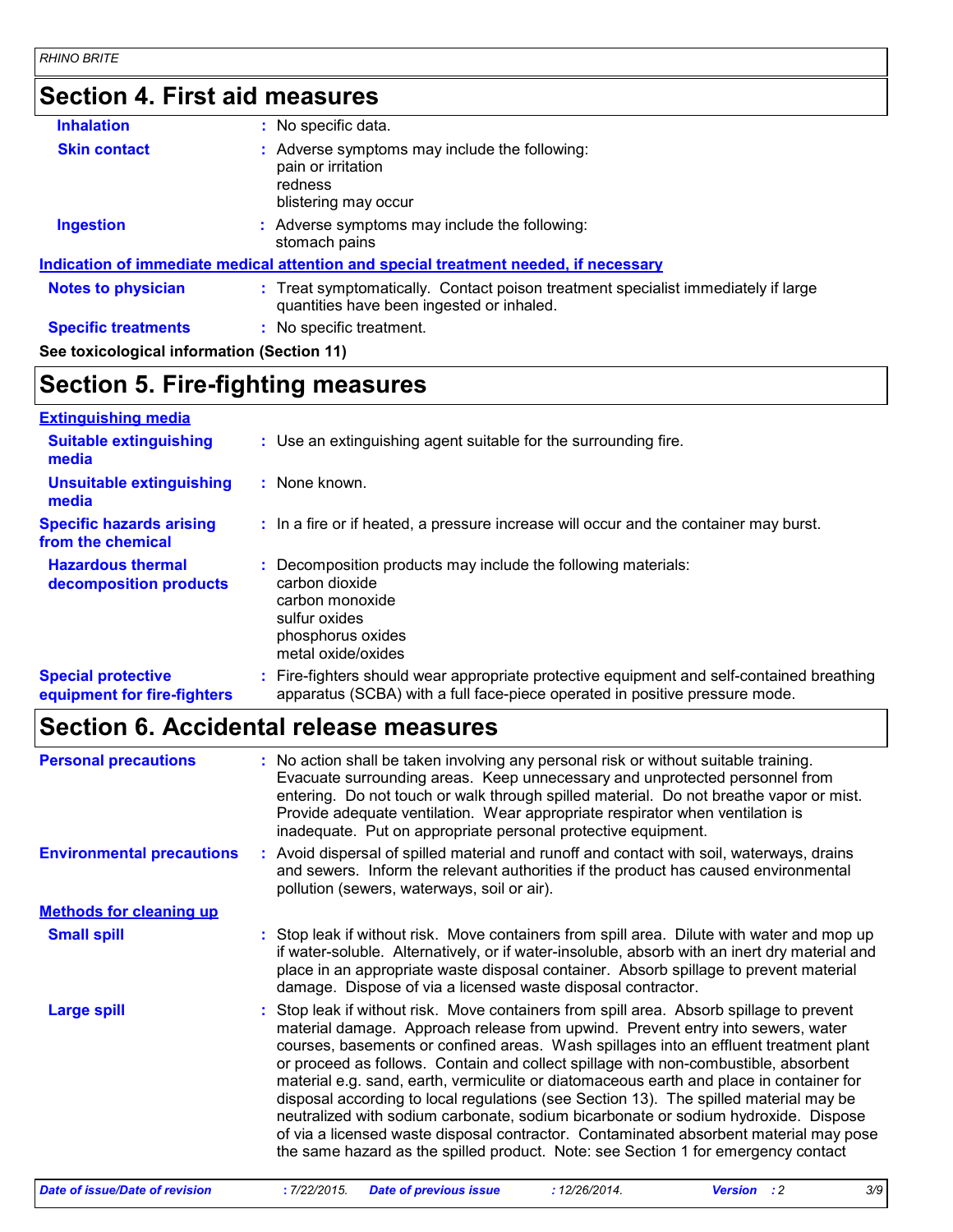# **Section 4. First aid measures**

| <b>Inhalation</b>                          | : No specific data.                                                                                                            |
|--------------------------------------------|--------------------------------------------------------------------------------------------------------------------------------|
| <b>Skin contact</b>                        | : Adverse symptoms may include the following:<br>pain or irritation<br>redness<br>blistering may occur                         |
| <b>Ingestion</b>                           | : Adverse symptoms may include the following:<br>stomach pains                                                                 |
|                                            | Indication of immediate medical attention and special treatment needed, if necessary                                           |
| <b>Notes to physician</b>                  | : Treat symptomatically. Contact poison treatment specialist immediately if large<br>quantities have been ingested or inhaled. |
| <b>Specific treatments</b>                 | : No specific treatment.                                                                                                       |
| See toxicological information (Section 11) |                                                                                                                                |
|                                            |                                                                                                                                |

### **Section 5. Fire-fighting measures**

| <b>Extinguishing media</b>                               |                                                                                                                                                                          |
|----------------------------------------------------------|--------------------------------------------------------------------------------------------------------------------------------------------------------------------------|
| <b>Suitable extinguishing</b><br>media                   | : Use an extinguishing agent suitable for the surrounding fire.                                                                                                          |
| <b>Unsuitable extinguishing</b><br>media                 | : None known.                                                                                                                                                            |
| <b>Specific hazards arising</b><br>from the chemical     | : In a fire or if heated, a pressure increase will occur and the container may burst.                                                                                    |
| <b>Hazardous thermal</b><br>decomposition products       | Decomposition products may include the following materials:<br>÷.<br>carbon dioxide<br>carbon monoxide<br>sulfur oxides<br>phosphorus oxides<br>metal oxide/oxides       |
| <b>Special protective</b><br>equipment for fire-fighters | : Fire-fighters should wear appropriate protective equipment and self-contained breathing<br>apparatus (SCBA) with a full face-piece operated in positive pressure mode. |

### **Section 6. Accidental release measures**

| <b>Personal precautions</b><br><b>Environmental precautions</b> | : No action shall be taken involving any personal risk or without suitable training.<br>Evacuate surrounding areas. Keep unnecessary and unprotected personnel from<br>entering. Do not touch or walk through spilled material. Do not breathe vapor or mist.<br>Provide adequate ventilation. Wear appropriate respirator when ventilation is<br>inadequate. Put on appropriate personal protective equipment.<br>: Avoid dispersal of spilled material and runoff and contact with soil, waterways, drains                                                                                                                                                                                                                                                                                                      |
|-----------------------------------------------------------------|-------------------------------------------------------------------------------------------------------------------------------------------------------------------------------------------------------------------------------------------------------------------------------------------------------------------------------------------------------------------------------------------------------------------------------------------------------------------------------------------------------------------------------------------------------------------------------------------------------------------------------------------------------------------------------------------------------------------------------------------------------------------------------------------------------------------|
|                                                                 | and sewers. Inform the relevant authorities if the product has caused environmental<br>pollution (sewers, waterways, soil or air).                                                                                                                                                                                                                                                                                                                                                                                                                                                                                                                                                                                                                                                                                |
| <b>Methods for cleaning up</b>                                  |                                                                                                                                                                                                                                                                                                                                                                                                                                                                                                                                                                                                                                                                                                                                                                                                                   |
| <b>Small spill</b>                                              | : Stop leak if without risk. Move containers from spill area. Dilute with water and mop up<br>if water-soluble. Alternatively, or if water-insoluble, absorb with an inert dry material and<br>place in an appropriate waste disposal container. Absorb spillage to prevent material<br>damage. Dispose of via a licensed waste disposal contractor.                                                                                                                                                                                                                                                                                                                                                                                                                                                              |
| <b>Large spill</b>                                              | Stop leak if without risk. Move containers from spill area. Absorb spillage to prevent<br>material damage. Approach release from upwind. Prevent entry into sewers, water<br>courses, basements or confined areas. Wash spillages into an effluent treatment plant<br>or proceed as follows. Contain and collect spillage with non-combustible, absorbent<br>material e.g. sand, earth, vermiculite or diatomaceous earth and place in container for<br>disposal according to local regulations (see Section 13). The spilled material may be<br>neutralized with sodium carbonate, sodium bicarbonate or sodium hydroxide. Dispose<br>of via a licensed waste disposal contractor. Contaminated absorbent material may pose<br>the same hazard as the spilled product. Note: see Section 1 for emergency contact |
| Date of issue/Date of revision                                  | 3/9<br>: 7/22/2015.<br><b>Date of previous issue</b><br>: 12/26/2014.<br><b>Version</b> : 2                                                                                                                                                                                                                                                                                                                                                                                                                                                                                                                                                                                                                                                                                                                       |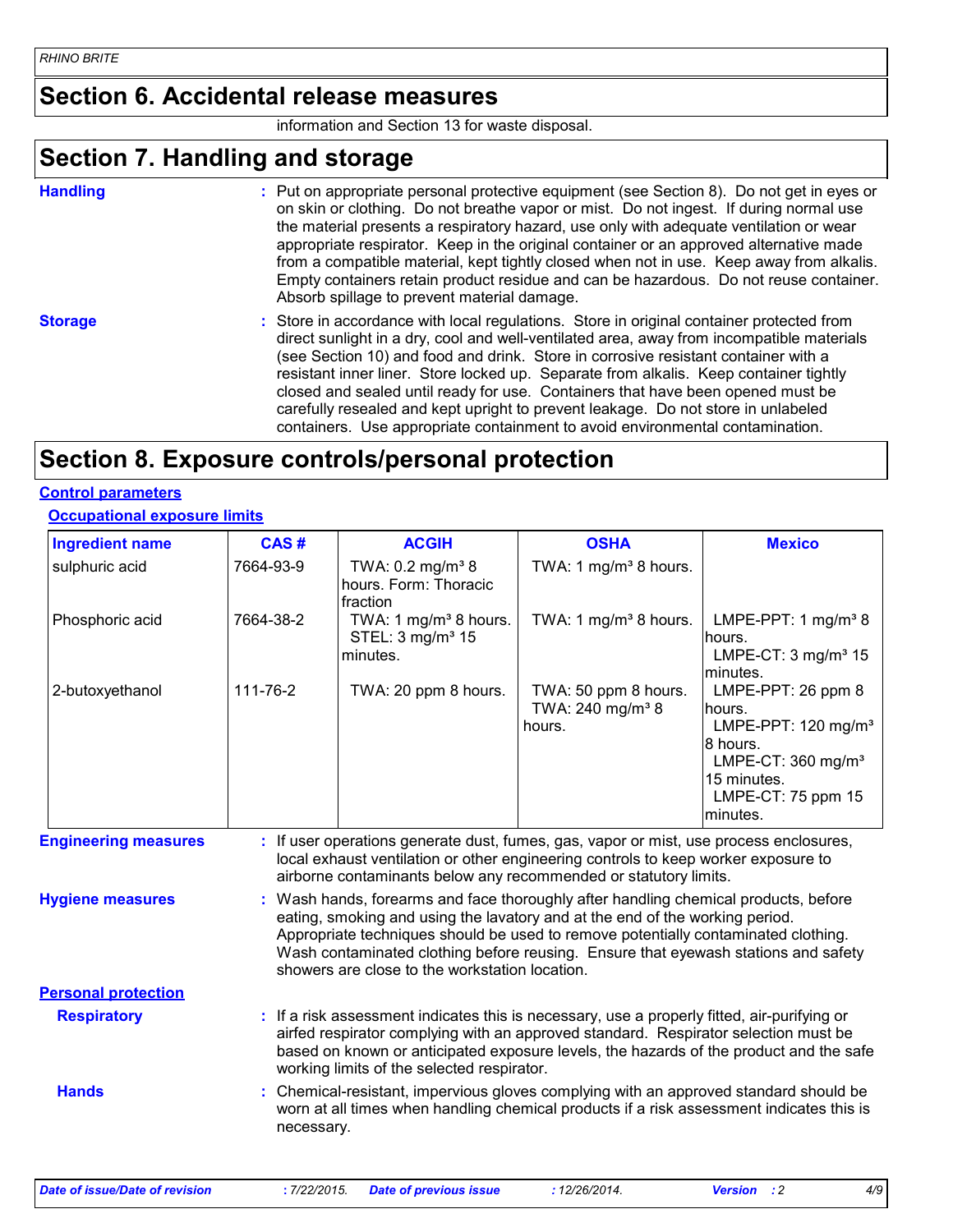#### **Section 6. Accidental release measures**

information and Section 13 for waste disposal.

### **Section 7. Handling and storage**

**Handling** entries a metal on appropriate personal protective equipment (see Section 8). Do not get in eyes or and on skin or clothing. Do not breathe vapor or mist. Do not ingest. If during normal use the material presents a respiratory hazard, use only with adequate ventilation or wear appropriate respirator. Keep in the original container or an approved alternative made from a compatible material, kept tightly closed when not in use. Keep away from alkalis. Empty containers retain product residue and can be hazardous. Do not reuse container. Absorb spillage to prevent material damage.

**Storage** Store in accordance with local regulations. Store in original container protected from strongling of the strongling of the strongling strongling strongling strongling strongling strongling strongling strongling s direct sunlight in a dry, cool and well-ventilated area, away from incompatible materials (see Section 10) and food and drink. Store in corrosive resistant container with a resistant inner liner. Store locked up. Separate from alkalis. Keep container tightly closed and sealed until ready for use. Containers that have been opened must be carefully resealed and kept upright to prevent leakage. Do not store in unlabeled containers. Use appropriate containment to avoid environmental contamination.

### **Section 8. Exposure controls/personal protection**

#### **Control parameters**

#### **Occupational exposure limits**

| <b>Ingredient name</b>      | CAS#       | <b>ACGIH</b>                                                                                                                                                                                                                                                                                                                                                                                      | <b>OSHA</b>                                                    | <b>Mexico</b>                                                                                                                                                   |
|-----------------------------|------------|---------------------------------------------------------------------------------------------------------------------------------------------------------------------------------------------------------------------------------------------------------------------------------------------------------------------------------------------------------------------------------------------------|----------------------------------------------------------------|-----------------------------------------------------------------------------------------------------------------------------------------------------------------|
| sulphuric acid              | 7664-93-9  | TWA: 0.2 mg/m <sup>3</sup> 8<br>hours. Form: Thoracic<br>fraction                                                                                                                                                                                                                                                                                                                                 | TWA: 1 mg/m <sup>3</sup> 8 hours.                              |                                                                                                                                                                 |
| Phosphoric acid             | 7664-38-2  | TWA: 1 mg/m <sup>3</sup> 8 hours.<br>STEL: 3 mg/m <sup>3</sup> 15<br>minutes.                                                                                                                                                                                                                                                                                                                     | TWA: 1 mg/m <sup>3</sup> 8 hours.                              | LMPE-PPT: 1 $mg/m3$ 8<br>hours.<br>LMPE-CT: $3 \text{ mg/m}^3$ 15<br>minutes.                                                                                   |
| 2-butoxyethanol             | 111-76-2   | TWA: 20 ppm 8 hours.                                                                                                                                                                                                                                                                                                                                                                              | TWA: 50 ppm 8 hours.<br>TWA: 240 mg/m <sup>3</sup> 8<br>hours. | LMPE-PPT: 26 ppm 8<br>hours.<br>LMPE-PPT: $120 \text{ mg/m}^3$<br>I8 hours.<br>LMPE-CT: 360 mg/m <sup>3</sup><br>15 minutes.<br>LMPE-CT: 75 ppm 15<br>lminutes. |
| <b>Engineering measures</b> |            | : If user operations generate dust, fumes, gas, vapor or mist, use process enclosures,<br>local exhaust ventilation or other engineering controls to keep worker exposure to<br>airborne contaminants below any recommended or statutory limits.                                                                                                                                                  |                                                                |                                                                                                                                                                 |
| <b>Hygiene measures</b>     |            | : Wash hands, forearms and face thoroughly after handling chemical products, before<br>eating, smoking and using the lavatory and at the end of the working period.<br>Appropriate techniques should be used to remove potentially contaminated clothing.<br>Wash contaminated clothing before reusing. Ensure that eyewash stations and safety<br>showers are close to the workstation location. |                                                                |                                                                                                                                                                 |
| <b>Personal protection</b>  |            |                                                                                                                                                                                                                                                                                                                                                                                                   |                                                                |                                                                                                                                                                 |
| <b>Respiratory</b>          |            | : If a risk assessment indicates this is necessary, use a properly fitted, air-purifying or<br>airfed respirator complying with an approved standard. Respirator selection must be<br>based on known or anticipated exposure levels, the hazards of the product and the safe<br>working limits of the selected respirator.                                                                        |                                                                |                                                                                                                                                                 |
| <b>Hands</b>                | necessary. | Chemical-resistant, impervious gloves complying with an approved standard should be<br>worn at all times when handling chemical products if a risk assessment indicates this is                                                                                                                                                                                                                   |                                                                |                                                                                                                                                                 |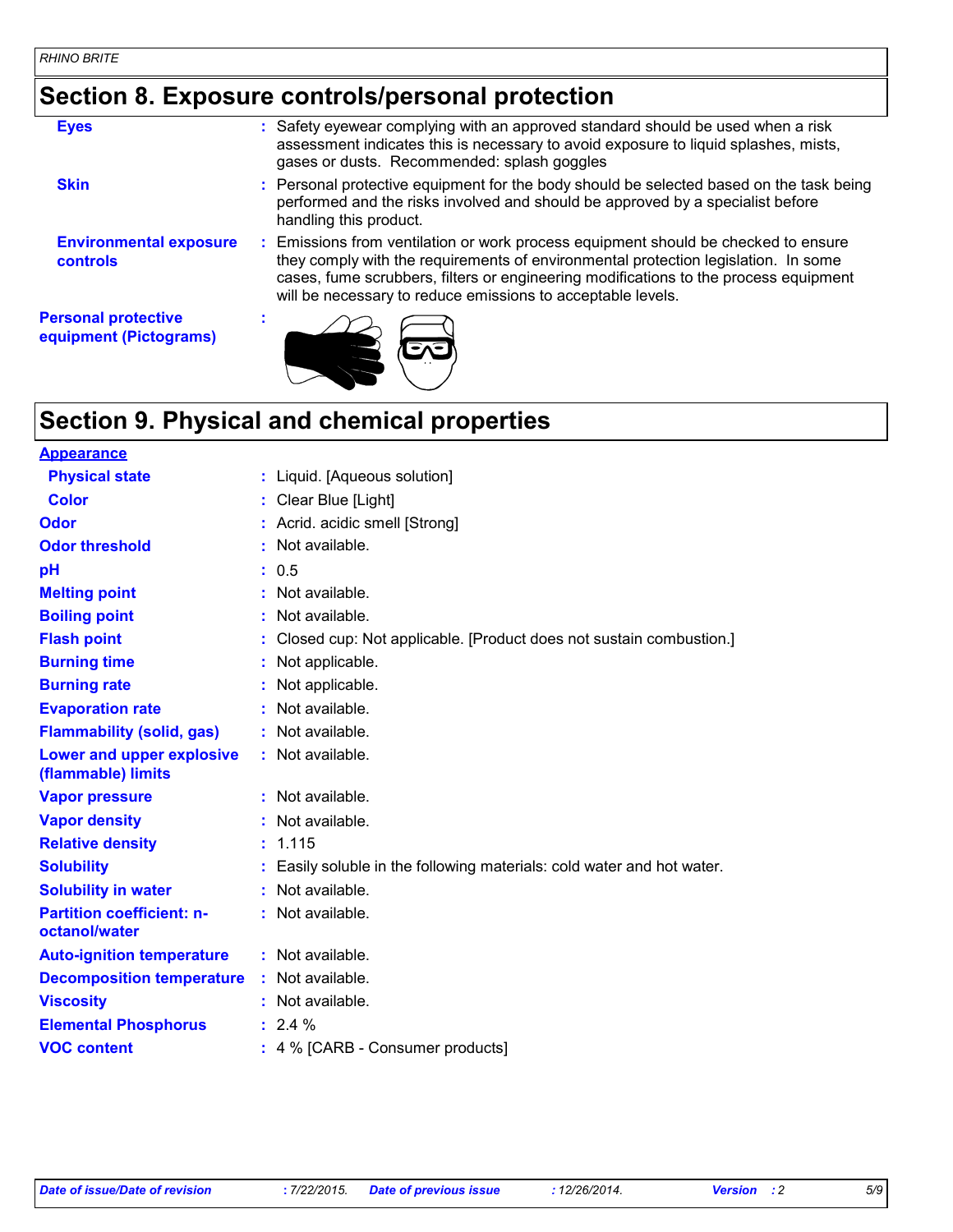# **Section 8. Exposure controls/personal protection**

| <b>Eyes</b>                                          | : Safety eyewear complying with an approved standard should be used when a risk<br>assessment indicates this is necessary to avoid exposure to liquid splashes, mists,<br>gases or dusts. Recommended: splash goggles                                                                                                           |
|------------------------------------------------------|---------------------------------------------------------------------------------------------------------------------------------------------------------------------------------------------------------------------------------------------------------------------------------------------------------------------------------|
| <b>Skin</b>                                          | : Personal protective equipment for the body should be selected based on the task being<br>performed and the risks involved and should be approved by a specialist before<br>handling this product.                                                                                                                             |
| <b>Environmental exposure</b><br>controls            | : Emissions from ventilation or work process equipment should be checked to ensure<br>they comply with the requirements of environmental protection legislation. In some<br>cases, fume scrubbers, filters or engineering modifications to the process equipment<br>will be necessary to reduce emissions to acceptable levels. |
| <b>Personal protective</b><br>equipment (Pictograms) |                                                                                                                                                                                                                                                                                                                                 |

# **Section 9. Physical and chemical properties**

| <b>Appearance</b>                                 |                                                                      |
|---------------------------------------------------|----------------------------------------------------------------------|
| <b>Physical state</b>                             | : Liquid. [Aqueous solution]                                         |
| <b>Color</b>                                      | Clear Blue [Light]                                                   |
| Odor                                              | : Acrid. acidic smell [Strong]                                       |
| <b>Odor threshold</b>                             | Not available.                                                       |
| рH                                                | : 0.5                                                                |
| <b>Melting point</b>                              | : Not available.                                                     |
| <b>Boiling point</b>                              | : Not available.                                                     |
| <b>Flash point</b>                                | Closed cup: Not applicable. [Product does not sustain combustion.]   |
| <b>Burning time</b>                               | : Not applicable.                                                    |
| <b>Burning rate</b>                               | : Not applicable.                                                    |
| <b>Evaporation rate</b>                           | : Not available.                                                     |
| <b>Flammability (solid, gas)</b>                  | : Not available.                                                     |
| Lower and upper explosive<br>(flammable) limits   | : Not available.                                                     |
| <b>Vapor pressure</b>                             | : Not available.                                                     |
| <b>Vapor density</b>                              | : Not available.                                                     |
| <b>Relative density</b>                           | : 1.115                                                              |
| <b>Solubility</b>                                 | Easily soluble in the following materials: cold water and hot water. |
| <b>Solubility in water</b>                        | : Not available.                                                     |
| <b>Partition coefficient: n-</b><br>octanol/water | : Not available.                                                     |
| <b>Auto-ignition temperature</b>                  | : Not available.                                                     |
| <b>Decomposition temperature</b>                  | : Not available.                                                     |
| <b>Viscosity</b>                                  | : Not available.                                                     |
| <b>Elemental Phosphorus</b>                       | $: 2.4 \%$                                                           |
| <b>VOC content</b>                                | : 4 % [CARB - Consumer products]                                     |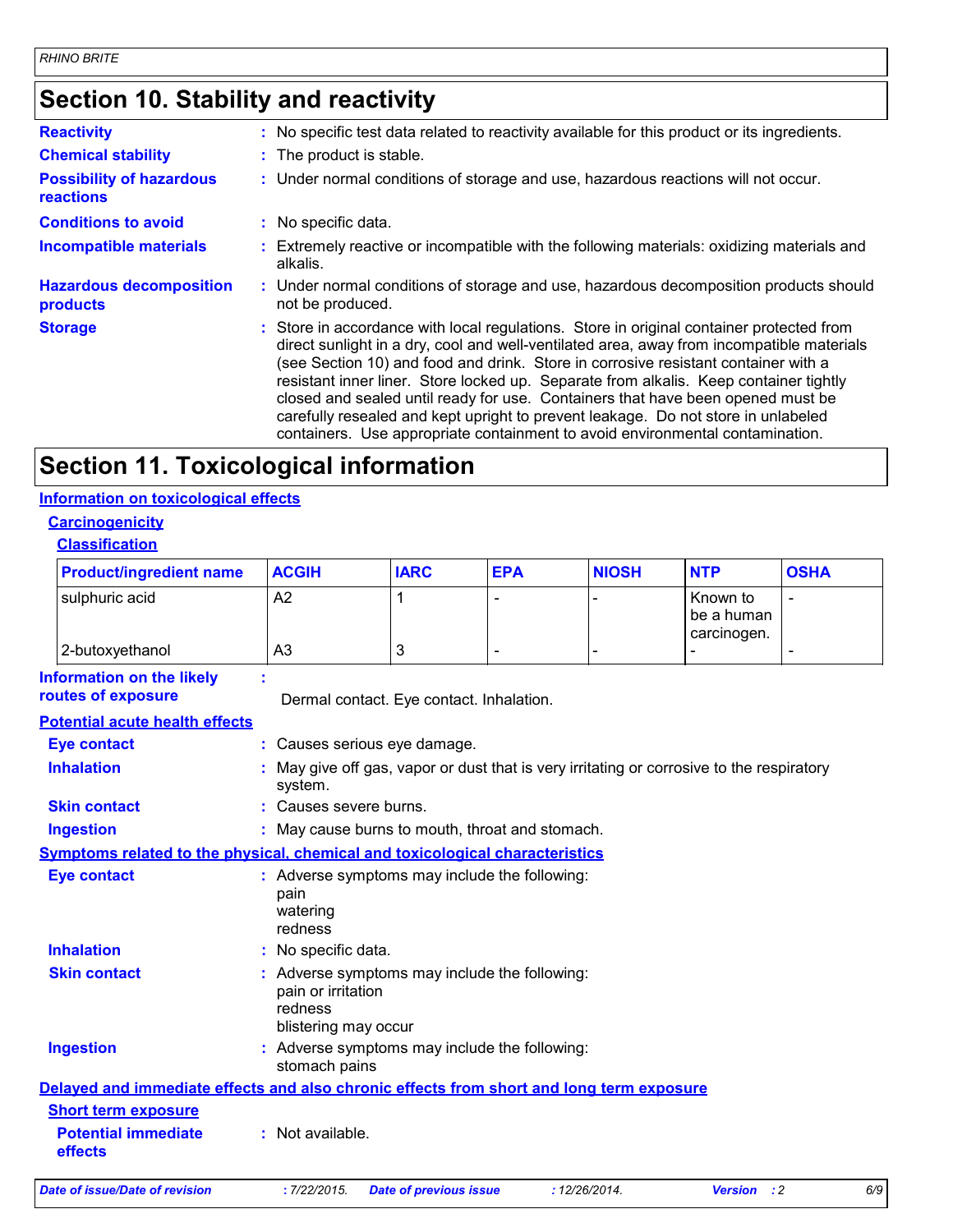### **Section 10. Stability and reactivity**

| <b>Reactivity</b>                            | : No specific test data related to reactivity available for this product or its ingredients.                                                                                                                                                                                                                                                                                                                                                                                                                                                                                                                                  |
|----------------------------------------------|-------------------------------------------------------------------------------------------------------------------------------------------------------------------------------------------------------------------------------------------------------------------------------------------------------------------------------------------------------------------------------------------------------------------------------------------------------------------------------------------------------------------------------------------------------------------------------------------------------------------------------|
| <b>Chemical stability</b>                    | : The product is stable.                                                                                                                                                                                                                                                                                                                                                                                                                                                                                                                                                                                                      |
| <b>Possibility of hazardous</b><br>reactions | : Under normal conditions of storage and use, hazardous reactions will not occur.                                                                                                                                                                                                                                                                                                                                                                                                                                                                                                                                             |
| <b>Conditions to avoid</b>                   | : No specific data.                                                                                                                                                                                                                                                                                                                                                                                                                                                                                                                                                                                                           |
| <b>Incompatible materials</b>                | : Extremely reactive or incompatible with the following materials: oxidizing materials and<br>alkalis.                                                                                                                                                                                                                                                                                                                                                                                                                                                                                                                        |
| <b>Hazardous decomposition</b><br>products   | : Under normal conditions of storage and use, hazardous decomposition products should<br>not be produced.                                                                                                                                                                                                                                                                                                                                                                                                                                                                                                                     |
| <b>Storage</b>                               | : Store in accordance with local regulations. Store in original container protected from<br>direct sunlight in a dry, cool and well-ventilated area, away from incompatible materials<br>(see Section 10) and food and drink. Store in corrosive resistant container with a<br>resistant inner liner. Store locked up. Separate from alkalis. Keep container tightly<br>closed and sealed until ready for use. Containers that have been opened must be<br>carefully resealed and kept upright to prevent leakage. Do not store in unlabeled<br>containers. Use appropriate containment to avoid environmental contamination. |

### **Section 11. Toxicological information**

#### **Information on toxicological effects**

#### **Carcinogenicity Classification**

| <b>Product/ingredient name</b> | <b>ACGIH</b> | <b>IARC</b> | <b>EPA</b> | <b>NIOSH</b> | <b>NTP</b>                            | <b>OSHA</b> |
|--------------------------------|--------------|-------------|------------|--------------|---------------------------------------|-------------|
| sulphuric acid                 | A2           |             |            |              | Known to<br>be a human<br>carcinogen. | -           |
| 2-butoxyethanol                | A3           | J           | -          |              |                                       | -           |

| <b>Information on the likely</b><br>routes of exposure | ÷<br>Dermal contact. Eye contact. Inhalation.                                                          |
|--------------------------------------------------------|--------------------------------------------------------------------------------------------------------|
| <b>Potential acute health effects</b>                  |                                                                                                        |
| <b>Eye contact</b>                                     | : Causes serious eye damage.                                                                           |
| <b>Inhalation</b>                                      | May give off gas, vapor or dust that is very irritating or corrosive to the respiratory<br>system.     |
| <b>Skin contact</b>                                    | : Causes severe burns.                                                                                 |
| <b>Ingestion</b>                                       | : May cause burns to mouth, throat and stomach.                                                        |
|                                                        | <b>Symptoms related to the physical, chemical and toxicological characteristics</b>                    |
| <b>Eye contact</b>                                     | : Adverse symptoms may include the following:<br>pain<br>watering<br>redness                           |
| <b>Inhalation</b>                                      | : No specific data.                                                                                    |
| <b>Skin contact</b>                                    | : Adverse symptoms may include the following:<br>pain or irritation<br>redness<br>blistering may occur |
| <b>Ingestion</b>                                       | : Adverse symptoms may include the following:<br>stomach pains                                         |
|                                                        | Delayed and immediate effects and also chronic effects from short and long term exposure               |
| <b>Short term exposure</b>                             |                                                                                                        |
| <b>Potential immediate</b><br>effects                  | : Not available.                                                                                       |
|                                                        |                                                                                                        |

*Date of issue/Date of revision* **:** *7/22/2015. Date of previous issue : 12/26/2014. Version : 2 6/9*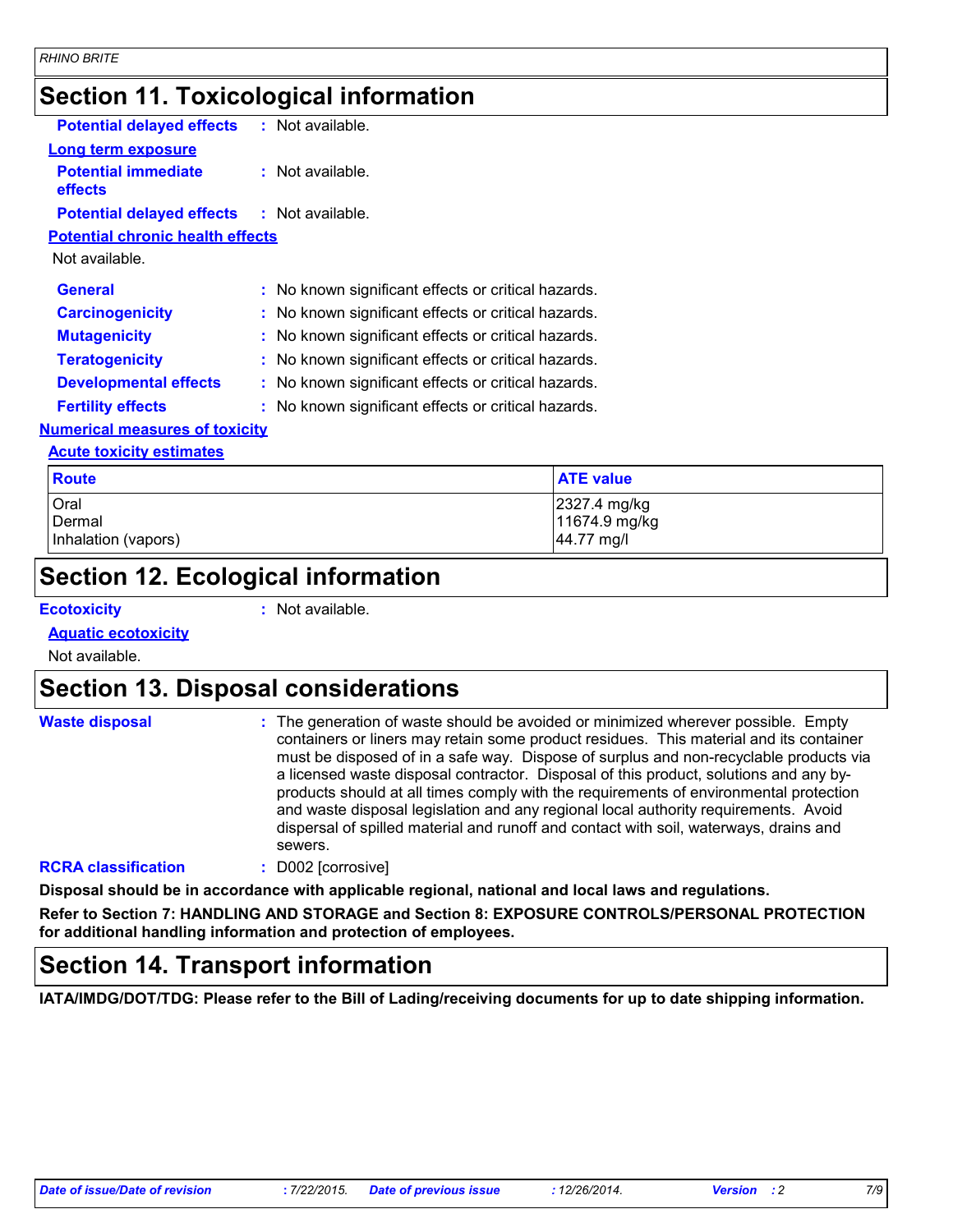### **Section 11. Toxicological information**

| <b>Potential delayed effects</b>                  | $:$ Not available.                                  |
|---------------------------------------------------|-----------------------------------------------------|
| Long term exposure                                |                                                     |
| <b>Potential immediate</b><br>effects             | $:$ Not available.                                  |
| <b>Potential delayed effects : Not available.</b> |                                                     |
| <b>Potential chronic health effects</b>           |                                                     |
| Not available.                                    |                                                     |
| <b>General</b>                                    | : No known significant effects or critical hazards. |
| <b>Carcinogenicity</b>                            | : No known significant effects or critical hazards. |
| <b>Mutagenicity</b>                               | : No known significant effects or critical hazards. |
| <b>Teratogenicity</b>                             | : No known significant effects or critical hazards. |
| <b>Developmental effects</b>                      | : No known significant effects or critical hazards. |
| <b>Fertility effects</b>                          | : No known significant effects or critical hazards. |
| <b>Numerical measures of toxicity</b>             |                                                     |

### **Acute toxicity estimates**

| <b>Route</b>        | <b>ATE value</b> |
|---------------------|------------------|
| Oral                | 2327.4 mg/kg     |
| Dermal              | 11674.9 mg/kg    |
| Inhalation (vapors) | 44.77 mg/l       |

### **Section 12. Ecological information**

**Ecotoxicity :**

: Not available.

#### **Aquatic ecotoxicity**

Not available.

### **Section 13. Disposal considerations**

| <b>Waste disposal</b>     | : The generation of waste should be avoided or minimized wherever possible. Empty<br>containers or liners may retain some product residues. This material and its container<br>must be disposed of in a safe way. Dispose of surplus and non-recyclable products via<br>a licensed waste disposal contractor. Disposal of this product, solutions and any by-<br>products should at all times comply with the requirements of environmental protection<br>and waste disposal legislation and any regional local authority requirements. Avoid<br>dispersal of spilled material and runoff and contact with soil, waterways, drains and<br>sewers. |
|---------------------------|---------------------------------------------------------------------------------------------------------------------------------------------------------------------------------------------------------------------------------------------------------------------------------------------------------------------------------------------------------------------------------------------------------------------------------------------------------------------------------------------------------------------------------------------------------------------------------------------------------------------------------------------------|
| <b>DODA</b> Hereification | $P(0001 - 0.000)$                                                                                                                                                                                                                                                                                                                                                                                                                                                                                                                                                                                                                                 |

#### **RCRA classification :** D002 [corrosive]

**Disposal should be in accordance with applicable regional, national and local laws and regulations.**

**Refer to Section 7: HANDLING AND STORAGE and Section 8: EXPOSURE CONTROLS/PERSONAL PROTECTION for additional handling information and protection of employees.**

### **Section 14. Transport information**

**IATA/IMDG/DOT/TDG: Please refer to the Bill of Lading/receiving documents for up to date shipping information.**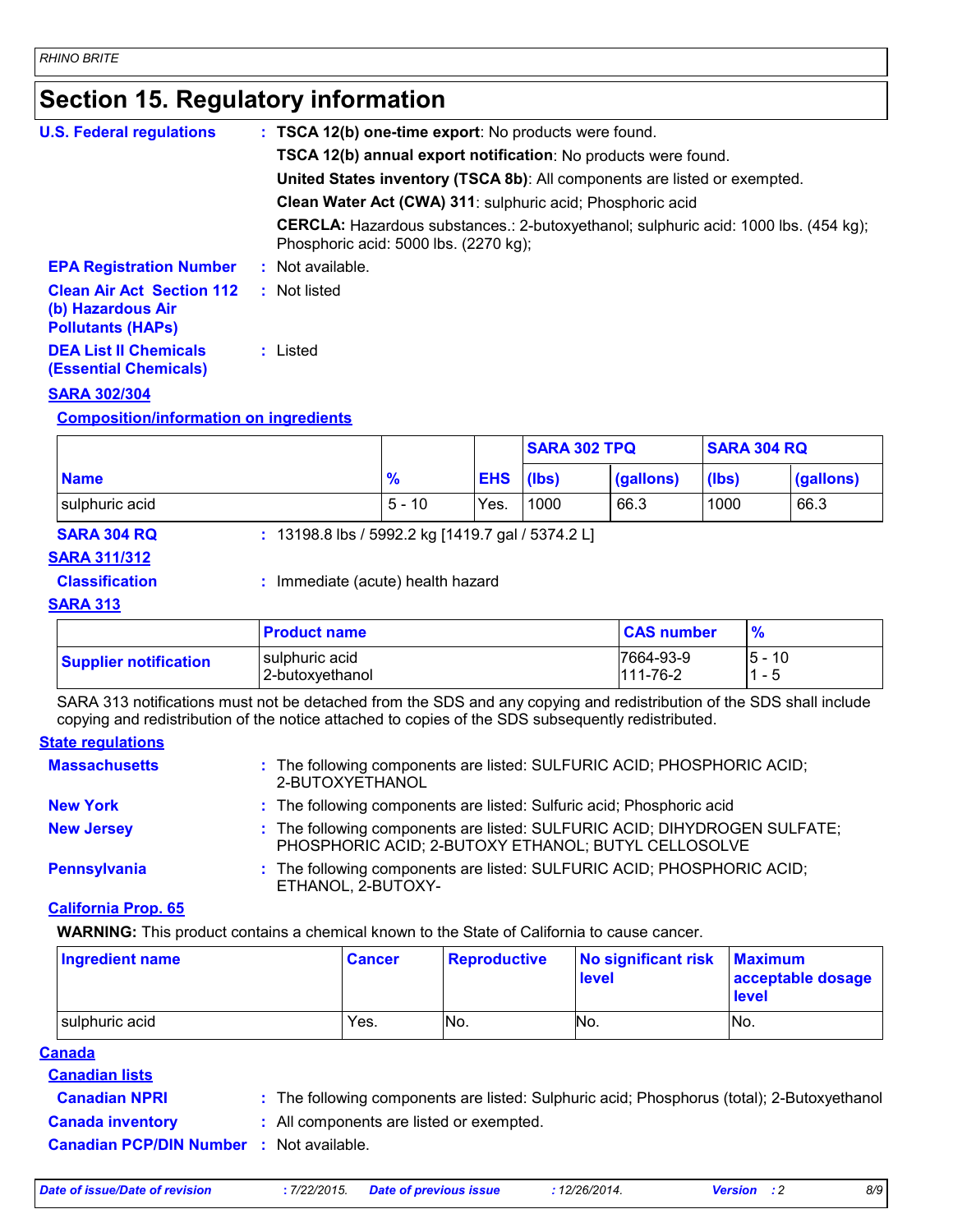### **Section 15. Regulatory information**

| <b>U.S. Federal regulations</b>                                                   | : TSCA 12(b) one-time export: No products were found.                                                                               |
|-----------------------------------------------------------------------------------|-------------------------------------------------------------------------------------------------------------------------------------|
|                                                                                   | <b>TSCA 12(b) annual export notification:</b> No products were found.                                                               |
|                                                                                   | <b>United States inventory (TSCA 8b):</b> All components are listed or exempted.                                                    |
|                                                                                   | Clean Water Act (CWA) 311: sulphuric acid; Phosphoric acid                                                                          |
|                                                                                   | <b>CERCLA:</b> Hazardous substances.: 2-butoxyethanol; sulphuric acid: 1000 lbs. (454 kg);<br>Phosphoric acid: 5000 lbs. (2270 kg); |
| <b>EPA Registration Number</b>                                                    | $:$ Not available.                                                                                                                  |
| <b>Clean Air Act Section 112</b><br>(b) Hazardous Air<br><b>Pollutants (HAPS)</b> | Not listed<br>÷.                                                                                                                    |
| <b>DEA List II Chemicals</b><br><b>(Essential Chemicals)</b>                      | : Listed                                                                                                                            |
| AARA AAAIAAL                                                                      |                                                                                                                                     |

#### **SARA 302/304**

#### **Composition/information on ingredients**

|                    |                                                   |               |                  | <b>ISARA 302 TPQ</b> |           | <b>SARA 304 RQ</b> |           |
|--------------------|---------------------------------------------------|---------------|------------------|----------------------|-----------|--------------------|-----------|
| <b>Name</b>        |                                                   | $\frac{9}{6}$ | <b>EHS</b> (lbs) |                      | (gallons) | (lbs)              | (gallons) |
| sulphuric acid     |                                                   | $5 - 10$      | Yes.             | 1000                 | 66.3      | 1000               | 66.3      |
| <b>SARA 304 RQ</b> | : 13198.8 lbs / 5992.2 kg [1419.7 gal / 5374.2 L] |               |                  |                      |           |                    |           |

#### **SARA 311/312**

**Classification :** Immediate (acute) health hazard

#### **SARA 313**

|                              | <b>Product name</b>               | <b>CAS number</b>           |                   |
|------------------------------|-----------------------------------|-----------------------------|-------------------|
| <b>Supplier notification</b> | sulphuric acid<br>2-butoxyethanol | 7664-93-9<br>$111 - 76 - 2$ | 10<br>l5 -<br>- 5 |

SARA 313 notifications must not be detached from the SDS and any copying and redistribution of the SDS shall include copying and redistribution of the notice attached to copies of the SDS subsequently redistributed.

#### **State regulations**

| <b>Massachusetts</b> | : The following components are listed: SULFURIC ACID; PHOSPHORIC ACID;<br>2-BUTOXYETHANOL                                        |
|----------------------|----------------------------------------------------------------------------------------------------------------------------------|
| <b>New York</b>      | : The following components are listed: Sulfuric acid; Phosphoric acid                                                            |
| <b>New Jersey</b>    | : The following components are listed: SULFURIC ACID; DIHYDROGEN SULFATE;<br>PHOSPHORIC ACID; 2-BUTOXY ETHANOL; BUTYL CELLOSOLVE |
| Pennsylvania         | : The following components are listed: SULFURIC ACID; PHOSPHORIC ACID;<br>ETHANOL, 2-BUTOXY-                                     |

#### **California Prop. 65**

**WARNING:** This product contains a chemical known to the State of California to cause cancer.

| Ingredient name | ∣ Cancer | <b>Reproductive</b> | No significant risk<br>level | <b>Maximum</b><br>acceptable dosage<br><b>level</b> |
|-----------------|----------|---------------------|------------------------------|-----------------------------------------------------|
| sulphuric acid  | Yes.     | No.                 | No.                          | INo.                                                |

- **Canadian lists**
- **Canadian NPRI :** The following components are listed: Sulphuric acid; Phosphorus (total); 2-Butoxyethanol
- **Canada inventory :** All components are listed or exempted.
- **Canadian PCP/DIN Number :** Not available.